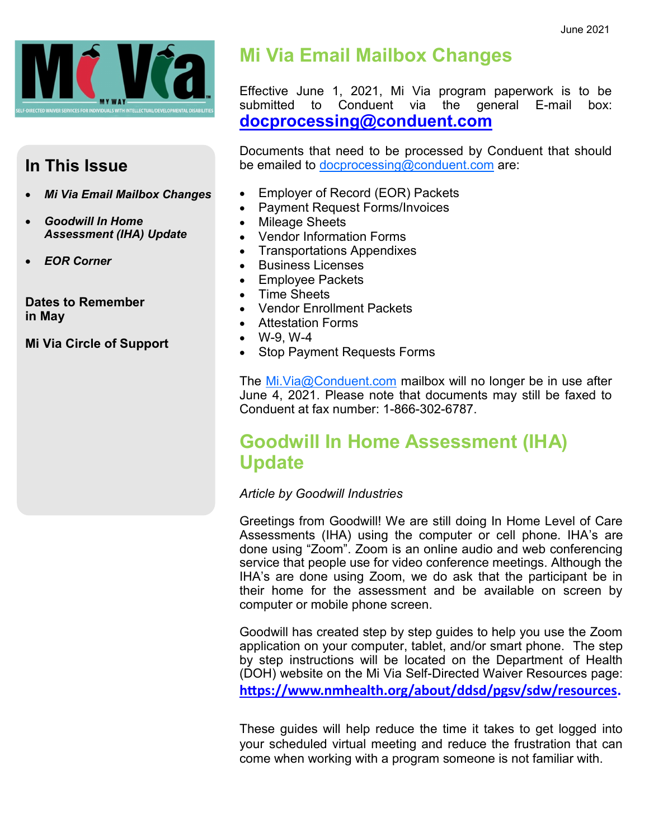

### **In This Issue**

- *Mi Via Email Mailbox Changes*
- *Goodwill In Home Assessment (IHA) Update*
- *EOR Corner*

**Dates to Remember in May**

**Mi Via Circle of Support**

# **Mi Via Email Mailbox Changes**

Effective June 1, 2021, Mi Via program paperwork is to be Conduent via the general E-mail box: **[docprocessing@conduent.com](mailto:docprocessing@conduent.com)**

Documents that need to be processed by Conduent that should be emailed to [docprocessing@conduent.com](mailto:docprocessing@conduent.com) are:

- Employer of Record (EOR) Packets
- Payment Request Forms/Invoices
- Mileage Sheets
- Vendor Information Forms
- Transportations Appendixes
- Business Licenses
- Employee Packets
- Time Sheets
- Vendor Enrollment Packets
- Attestation Forms
- W-9, W-4
- Stop Payment Requests Forms

The Mi. Via@Conduent.com mailbox will no longer be in use after June 4, 2021. Please note that documents may still be faxed to Conduent at fax number: 1-866-302-6787.

## **Goodwill In Home Assessment (IHA) Update**

#### *Article by Goodwill Industries*

Greetings from Goodwill! We are still doing In Home Level of Care Assessments (IHA) using the computer or cell phone. IHA's are done using "Zoom". Zoom is an online audio and web conferencing service that people use for video conference meetings. Although the IHA's are done using Zoom, we do ask that the participant be in their home for the assessment and be available on screen by computer or mobile phone screen.

Goodwill has created step by step guides to help you use the Zoom application on your computer, tablet, and/or smart phone. The step by step instructions will be located on the Department of Health (DOH) website on the Mi Via Self-Directed Waiver Resources page: **[https://www.nmhealth.org/about/ddsd/pgsv/sdw/resources.](https://www.nmhealth.org/about/ddsd/pgsv/sdw/resources)**

These guides will help reduce the time it takes to get logged into your scheduled virtual meeting and reduce the frustration that can come when working with a program someone is not familiar with.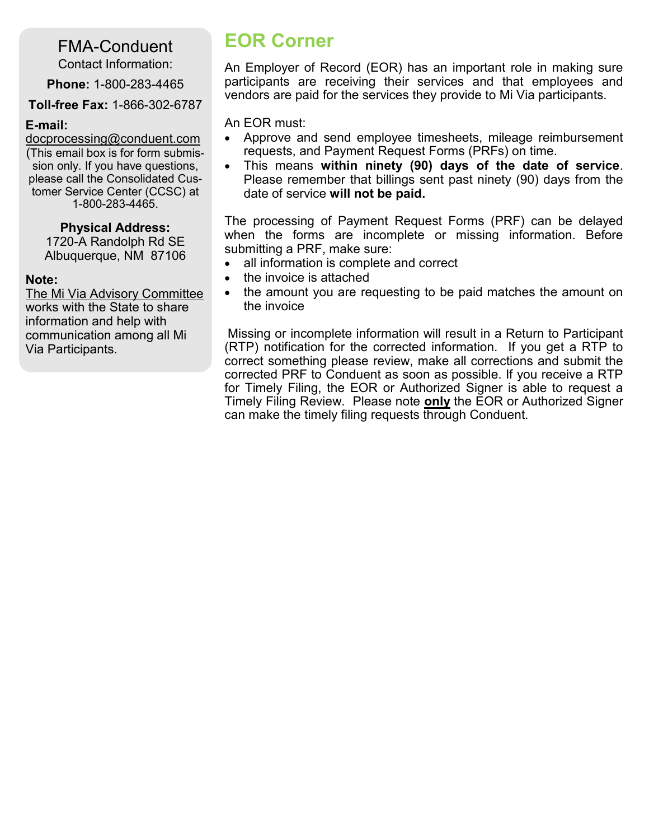FMA-Conduent

Contact Information:

**Phone:** 1-800-283-4465

**Toll-free Fax:** 1-866-302-6787

#### **E-mail:**

[docprocessing@conduent.com](mailto:docprocessing@conduent.com) (This email box is for form submission only. If you have questions, please call the Consolidated Customer Service Center (CCSC) at 1-800-283-4465.

#### **Physical Address:**

1720-A Randolph Rd SE Albuquerque, NM 87106

#### **Note:**

The Mi Via Advisory Committee works with the State to share information and help with communication among all Mi Via Participants.

# **EOR Corner**

An Employer of Record (EOR) has an important role in making sure participants are receiving their services and that employees and vendors are paid for the services they provide to Mi Via participants.

An EOR must:

- Approve and send employee timesheets, mileage reimbursement requests, and Payment Request Forms (PRFs) on time.
- This means **within ninety (90) days of the date of service**. Please remember that billings sent past ninety (90) days from the date of service **will not be paid.**

The processing of Payment Request Forms (PRF) can be delayed when the forms are incomplete or missing information. Before submitting a PRF, make sure:

- all information is complete and correct
- the invoice is attached
- the amount you are requesting to be paid matches the amount on the invoice

Missing or incomplete information will result in a Return to Participant (RTP) notification for the corrected information. If you get a RTP to correct something please review, make all corrections and submit the corrected PRF to Conduent as soon as possible. If you receive a RTP for Timely Filing, the EOR or Authorized Signer is able to request a Timely Filing Review. Please note **only** the EOR or Authorized Signer can make the timely filing requests through Conduent.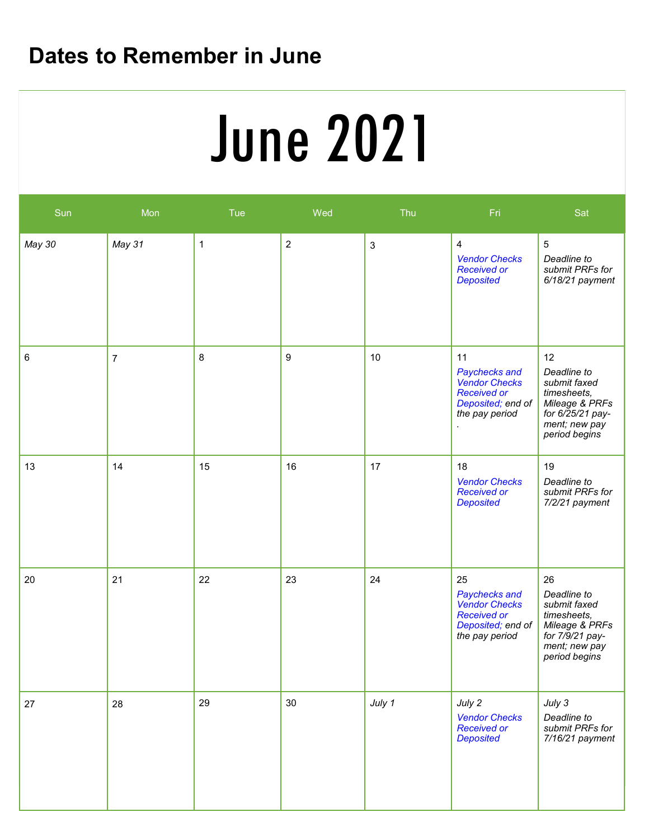# **Dates to Remember in June**

# **Service Deliveries Concerns (E.g. SSP)** June 2021

| Sun    | Mon            | Tue | Wed              | Thu        | Fri                                                                                                      | Sat                                                                                                                      |
|--------|----------------|-----|------------------|------------|----------------------------------------------------------------------------------------------------------|--------------------------------------------------------------------------------------------------------------------------|
| May 30 | May 31         | 1   | $\overline{2}$   | $\sqrt{3}$ | 4<br><b>Vendor Checks</b><br><b>Received or</b><br><b>Deposited</b>                                      | $\sqrt{5}$<br>Deadline to<br>submit PRFs for<br>$6/18/21$ payment                                                        |
| 6      | $\overline{7}$ | 8   | $\boldsymbol{9}$ | 10         | 11<br>Paychecks and<br><b>Vendor Checks</b><br><b>Received or</b><br>Deposited; end of<br>the pay period | 12<br>Deadline to<br>submit faxed<br>timesheets,<br>Mileage & PRFs<br>for 6/25/21 pay-<br>ment; new pay<br>period begins |
| 13     | 14             | 15  | 16               | 17         | 18<br><b>Vendor Checks</b><br><b>Received or</b><br><b>Deposited</b>                                     | 19<br>Deadline to<br>submit PRFs for<br>7/2/21 payment                                                                   |
| 20     | 21             | 22  | 23               | 24         | 25<br>Paychecks and<br><b>Vendor Checks</b><br><b>Received or</b><br>Deposited; end of<br>the pay period | 26<br>Deadline to<br>submit faxed<br>timesheets,<br>Mileage & PRFs<br>for 7/9/21 pay-<br>ment; new pay<br>period begins  |
| 27     | 28             | 29  | 30               | July 1     | July 2<br><b>Vendor Checks</b><br><b>Received or</b><br><b>Deposited</b>                                 | July 3<br>Deadline to<br>submit PRFs for<br>7/16/21 payment                                                              |